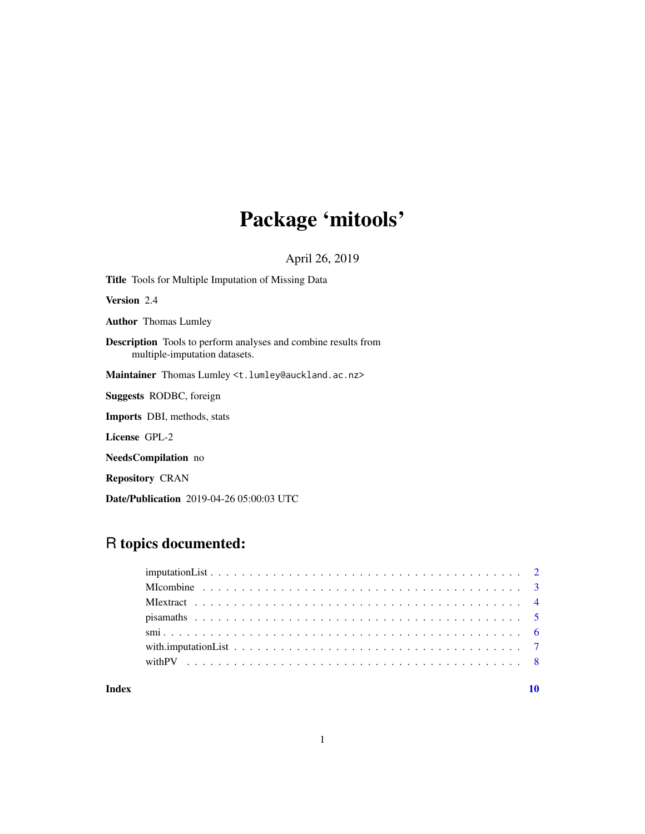# Package 'mitools'

April 26, 2019

Title Tools for Multiple Imputation of Missing Data Version 2.4 Author Thomas Lumley Description Tools to perform analyses and combine results from multiple-imputation datasets. Maintainer Thomas Lumley <t.lumley@auckland.ac.nz> Suggests RODBC, foreign Imports DBI, methods, stats License GPL-2 NeedsCompilation no Repository CRAN

Date/Publication 2019-04-26 05:00:03 UTC

# R topics documented:

# $\blacksquare$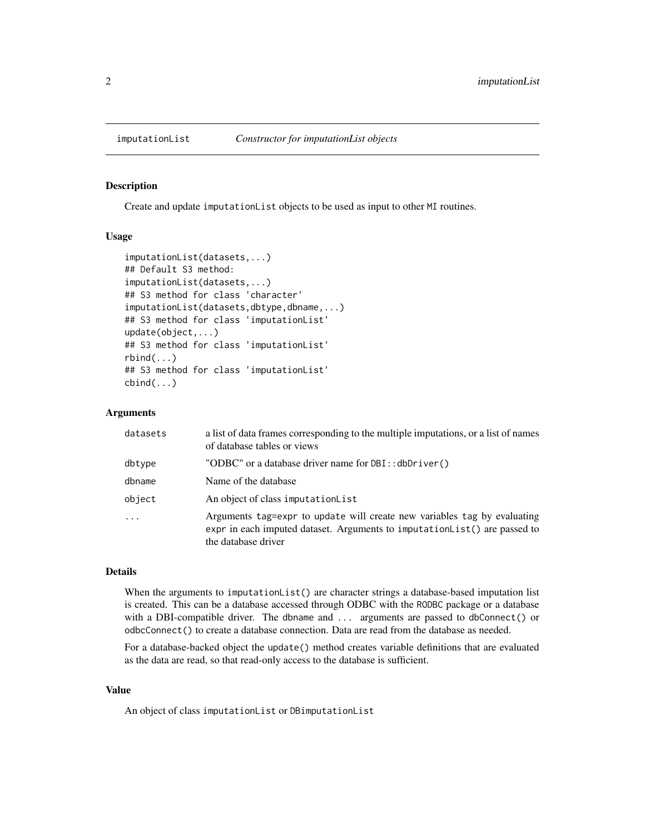<span id="page-1-1"></span><span id="page-1-0"></span>

#### Description

Create and update imputationList objects to be used as input to other MI routines.

# Usage

```
imputationList(datasets,...)
## Default S3 method:
imputationList(datasets,...)
## S3 method for class 'character'
imputationList(datasets,dbtype,dbname,...)
## S3 method for class 'imputationList'
update(object,...)
## S3 method for class 'imputationList'
rbind(...)
## S3 method for class 'imputationList'
cbind(...)
```
#### Arguments

| datasets | a list of data frames corresponding to the multiple imputations, or a list of names<br>of database tables or views                                                            |
|----------|-------------------------------------------------------------------------------------------------------------------------------------------------------------------------------|
| dbtype   | "ODBC" or a database driver name for DBI:: dbDriver()                                                                                                                         |
| dbname   | Name of the database                                                                                                                                                          |
| object   | An object of class imputation List                                                                                                                                            |
| $\ddots$ | Arguments tag=expr to update will create new variables tag by evaluating<br>expr in each imputed dataset. Arguments to imputation List() are passed to<br>the database driver |

#### Details

When the arguments to imputationList() are character strings a database-based imputation list is created. This can be a database accessed through ODBC with the RODBC package or a database with a DBI-compatible driver. The dbname and ... arguments are passed to dbConnect() or odbcConnect() to create a database connection. Data are read from the database as needed.

For a database-backed object the update() method creates variable definitions that are evaluated as the data are read, so that read-only access to the database is sufficient.

# Value

An object of class imputationList or DBimputationList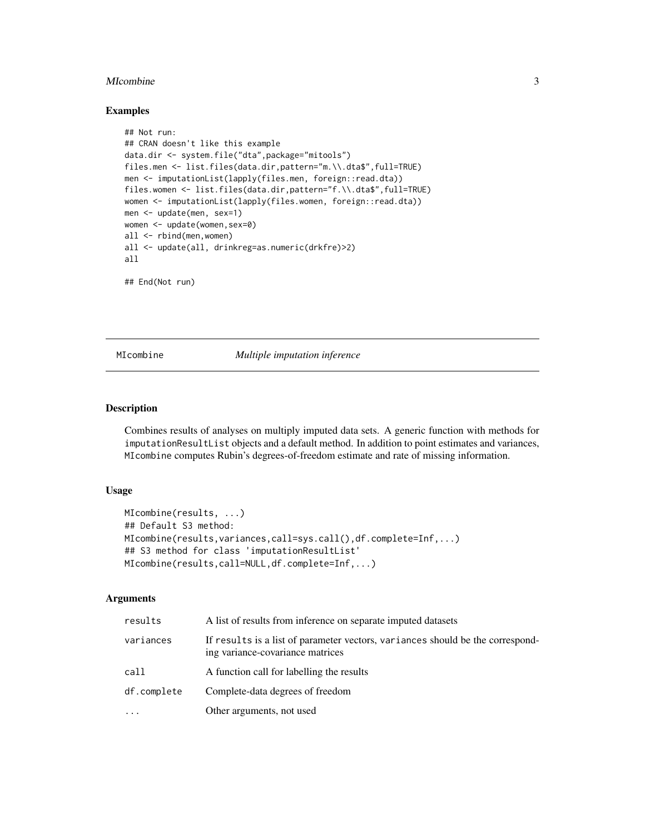#### <span id="page-2-0"></span>MIcombine 3

#### Examples

```
## Not run:
## CRAN doesn't like this example
data.dir <- system.file("dta",package="mitools")
files.men <- list.files(data.dir,pattern="m.\\.dta$",full=TRUE)
men <- imputationList(lapply(files.men, foreign::read.dta))
files.women <- list.files(data.dir,pattern="f.\\.dta$",full=TRUE)
women <- imputationList(lapply(files.women, foreign::read.dta))
men <- update(men, sex=1)
women <- update(women,sex=0)
all <- rbind(men,women)
all <- update(all, drinkreg=as.numeric(drkfre)>2)
all
```
## End(Not run)

<span id="page-2-1"></span>MIcombine *Multiple imputation inference*

#### Description

Combines results of analyses on multiply imputed data sets. A generic function with methods for imputationResultList objects and a default method. In addition to point estimates and variances, MIcombine computes Rubin's degrees-of-freedom estimate and rate of missing information.

#### Usage

```
MIcombine(results, ...)
## Default S3 method:
MIcombine(results,variances,call=sys.call(),df.complete=Inf,...)
## S3 method for class 'imputationResultList'
MIcombine(results,call=NULL,df.complete=Inf,...)
```
#### Arguments

| results     | A list of results from inference on separate imputed datasets                                                      |
|-------------|--------------------------------------------------------------------------------------------------------------------|
| variances   | If results is a list of parameter vectors, variances should be the correspond-<br>ing variance-covariance matrices |
| call        | A function call for labelling the results                                                                          |
| df.complete | Complete-data degrees of freedom                                                                                   |
| .           | Other arguments, not used                                                                                          |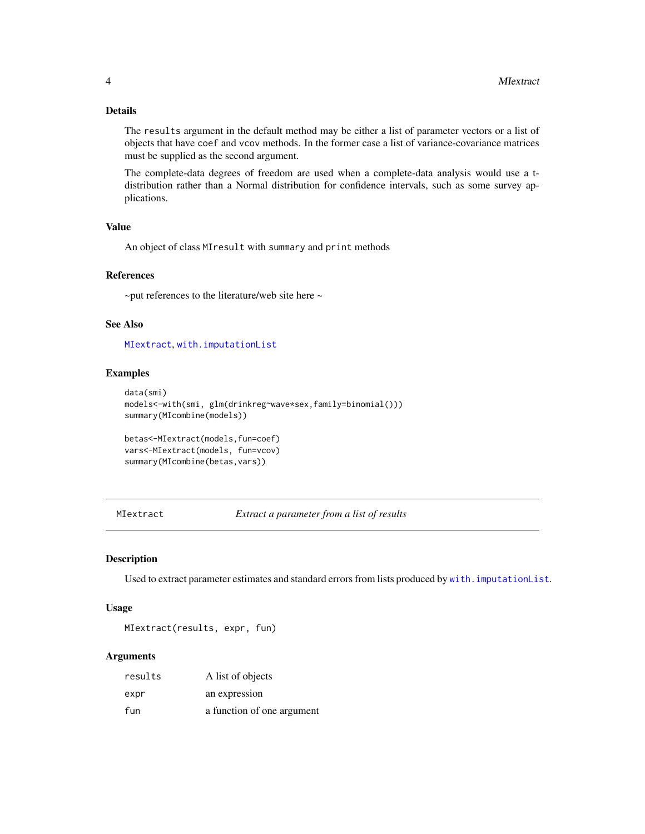# <span id="page-3-0"></span>Details

The results argument in the default method may be either a list of parameter vectors or a list of objects that have coef and vcov methods. In the former case a list of variance-covariance matrices must be supplied as the second argument.

The complete-data degrees of freedom are used when a complete-data analysis would use a tdistribution rather than a Normal distribution for confidence intervals, such as some survey applications.

# Value

An object of class MIresult with summary and print methods

# References

~put references to the literature/web site here ~

# See Also

[MIextract](#page-3-1), [with.imputationList](#page-6-1)

# Examples

```
data(smi)
models<-with(smi, glm(drinkreg~wave*sex,family=binomial()))
summary(MIcombine(models))
betas<-MIextract(models,fun=coef)
vars<-MIextract(models, fun=vcov)
summary(MIcombine(betas,vars))
```
<span id="page-3-1"></span>MIextract *Extract a parameter from a list of results*

#### Description

Used to extract parameter estimates and standard errors from lists produced by [with.imputationList](#page-6-1).

# Usage

MIextract(results, expr, fun)

# Arguments

| results | A list of objects          |
|---------|----------------------------|
| expr    | an expression              |
| fun     | a function of one argument |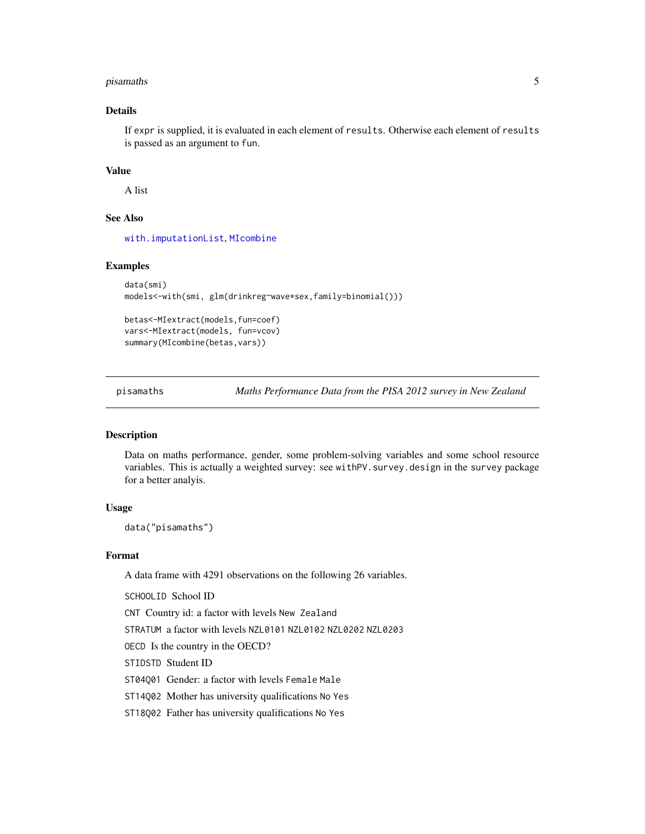#### <span id="page-4-0"></span>pisamaths 5

# Details

If expr is supplied, it is evaluated in each element of results. Otherwise each element of results is passed as an argument to fun.

# Value

A list

# See Also

[with.imputationList](#page-6-1), [MIcombine](#page-2-1)

# Examples

```
data(smi)
models<-with(smi, glm(drinkreg~wave*sex,family=binomial()))
betas<-MIextract(models,fun=coef)
vars<-MIextract(models, fun=vcov)
```
summary(MIcombine(betas,vars))

<span id="page-4-1"></span>pisamaths *Maths Performance Data from the PISA 2012 survey in New Zealand*

# Description

Data on maths performance, gender, some problem-solving variables and some school resource variables. This is actually a weighted survey: see withPV. survey.design in the survey package for a better analyis.

## Usage

data("pisamaths")

#### Format

A data frame with 4291 observations on the following 26 variables.

SCHOOLID School ID

CNT Country id: a factor with levels New Zealand

STRATUM a factor with levels NZL0101 NZL0102 NZL0202 NZL0203

OECD Is the country in the OECD?

STIDSTD Student ID

ST04Q01 Gender: a factor with levels Female Male

ST14Q02 Mother has university qualifications No Yes

ST18Q02 Father has university qualifications No Yes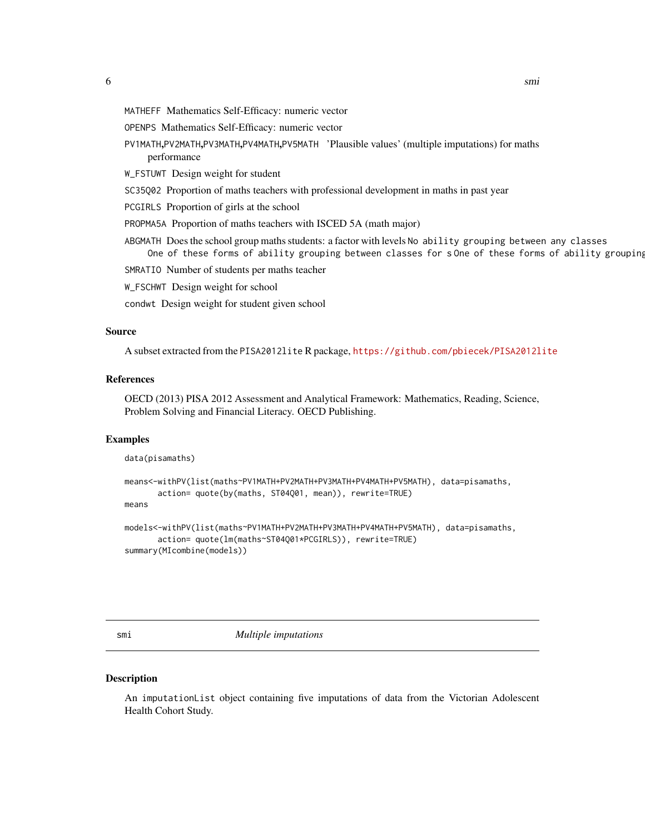- <span id="page-5-0"></span>MATHEFF Mathematics Self-Efficacy: numeric vector
- OPENPS Mathematics Self-Efficacy: numeric vector
- PV1MATH,PV2MATH,PV3MATH,PV4MATH,PV5MATH 'Plausible values' (multiple imputations) for maths performance
- W\_FSTUWT Design weight for student
- SC35Q02 Proportion of maths teachers with professional development in maths in past year
- PCGIRLS Proportion of girls at the school
- PROPMA5A Proportion of maths teachers with ISCED 5A (math major)
- ABGMATH Does the school group maths students: a factor with levels No ability grouping between any classes One of these forms of ability grouping between classes for s One of these forms of ability grouping
- SMRATIO Number of students per maths teacher
- W\_FSCHWT Design weight for school
- condwt Design weight for student given school

#### Source

A subset extracted from the PISA2012lite R package, <https://github.com/pbiecek/PISA2012lite>

#### References

OECD (2013) PISA 2012 Assessment and Analytical Framework: Mathematics, Reading, Science, Problem Solving and Financial Literacy. OECD Publishing.

#### Examples

```
data(pisamaths)
```

```
means<-withPV(list(maths~PV1MATH+PV2MATH+PV3MATH+PV4MATH+PV5MATH), data=pisamaths,
      action= quote(by(maths, ST04Q01, mean)), rewrite=TRUE)
means
```

```
models<-withPV(list(maths~PV1MATH+PV2MATH+PV3MATH+PV4MATH+PV5MATH), data=pisamaths,
      action= quote(lm(maths~ST04Q01*PCGIRLS)), rewrite=TRUE)
summary(MIcombine(models))
```
smi *Multiple imputations*

#### Description

An imputationList object containing five imputations of data from the Victorian Adolescent Health Cohort Study.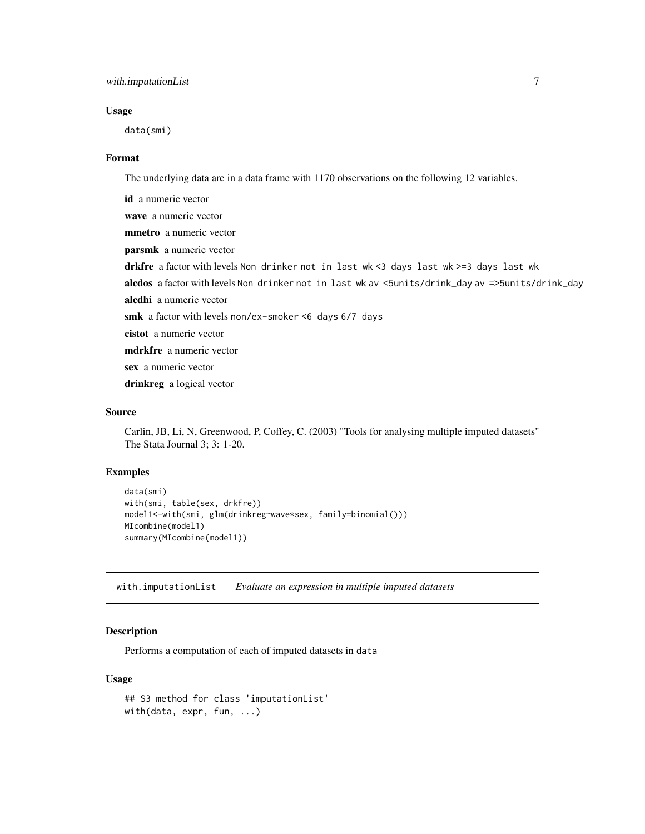# <span id="page-6-0"></span>with.imputationList 7

#### Usage

data(smi)

#### Format

The underlying data are in a data frame with 1170 observations on the following 12 variables.

id a numeric vector wave a numeric vector mmetro a numeric vector parsmk a numeric vector drkfre a factor with levels Non drinker not in last wk <3 days last wk >=3 days last wk alcdos a factor with levels Non drinker not in last wk av <5units/drink\_day av =>5units/drink\_day alcdhi a numeric vector smk a factor with levels non/ex-smoker <6 days 6/7 days cistot a numeric vector mdrkfre a numeric vector sex a numeric vector drinkreg a logical vector

# Source

Carlin, JB, Li, N, Greenwood, P, Coffey, C. (2003) "Tools for analysing multiple imputed datasets" The Stata Journal 3; 3: 1-20.

#### Examples

```
data(smi)
with(smi, table(sex, drkfre))
model1<-with(smi, glm(drinkreg~wave*sex, family=binomial()))
MIcombine(model1)
summary(MIcombine(model1))
```
<span id="page-6-1"></span>with.imputationList *Evaluate an expression in multiple imputed datasets*

# Description

Performs a computation of each of imputed datasets in data

#### Usage

```
## S3 method for class 'imputationList'
with(data, expr, fun, ...)
```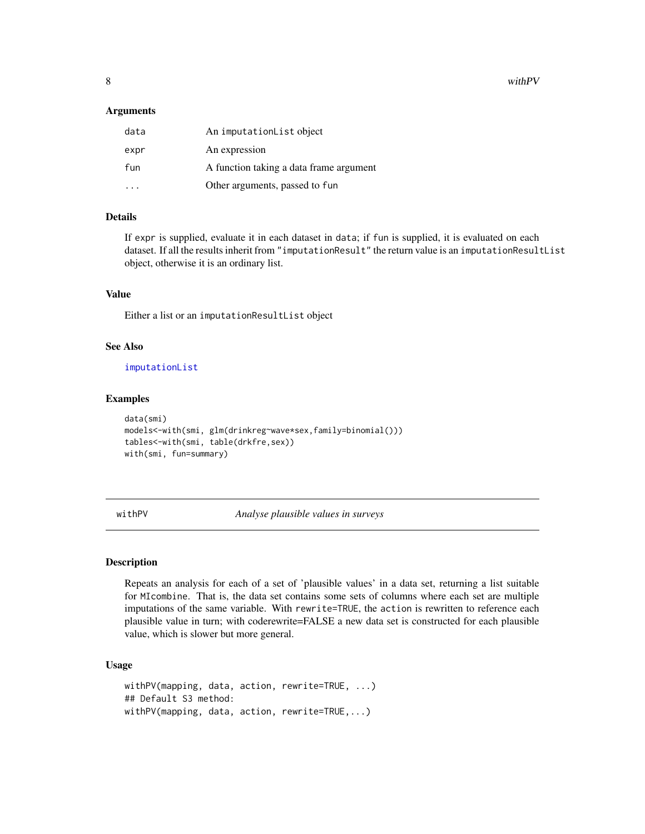<span id="page-7-0"></span>8 with PV with  $\mathbb{P}$  with  $\mathbb{P}$  with  $\mathbb{P}$  with  $\mathbb{P}$  with  $\mathbb{P}$  with  $\mathbb{P}$  with  $\mathbb{P}$  with  $\mathbb{P}$  with  $\mathbb{P}$  with  $\mathbb{P}$  with  $\mathbb{P}$  with  $\mathbb{P}$  with  $\mathbb{P}$  with  $\mathbb{P}$  with  $\mathbb{P}$  wi

#### **Arguments**

| data | An imputationList object                |
|------|-----------------------------------------|
| expr | An expression                           |
| fun  | A function taking a data frame argument |
|      | Other arguments, passed to fun          |

#### Details

If expr is supplied, evaluate it in each dataset in data; if fun is supplied, it is evaluated on each dataset. If all the results inherit from "imputationResult" the return value is an imputationResultList object, otherwise it is an ordinary list.

# Value

Either a list or an imputationResultList object

#### See Also

[imputationList](#page-1-1)

# Examples

```
data(smi)
models<-with(smi, glm(drinkreg~wave*sex,family=binomial()))
tables<-with(smi, table(drkfre,sex))
with(smi, fun=summary)
```
withPV *Analyse plausible values in surveys*

# Description

Repeats an analysis for each of a set of 'plausible values' in a data set, returning a list suitable for MIcombine. That is, the data set contains some sets of columns where each set are multiple imputations of the same variable. With rewrite=TRUE, the action is rewritten to reference each plausible value in turn; with coderewrite=FALSE a new data set is constructed for each plausible value, which is slower but more general.

# Usage

```
withPV(mapping, data, action, rewrite=TRUE, ...)
## Default S3 method:
withPV(mapping, data, action, rewrite=TRUE,...)
```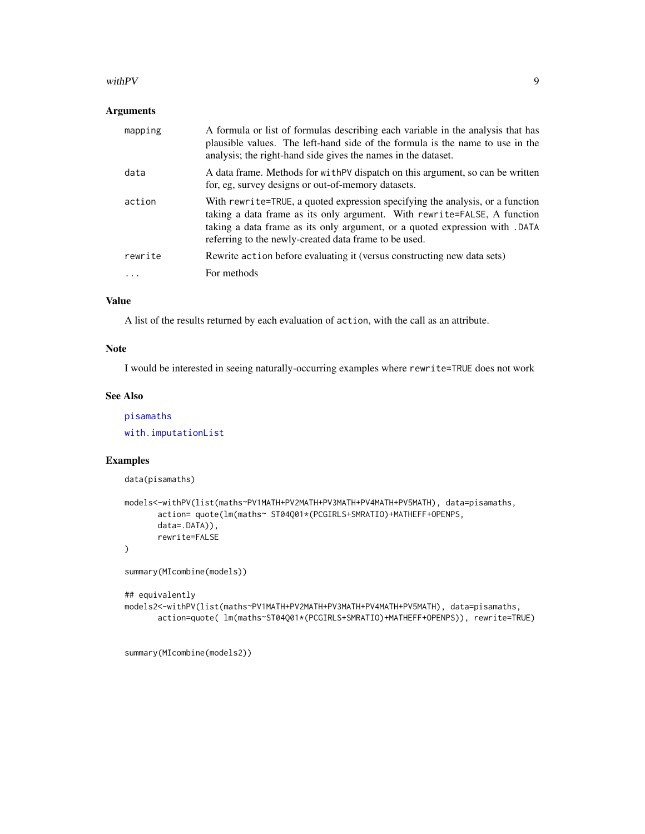#### <span id="page-8-0"></span>with PV  $\sim$  9

# Arguments

| mapping | A formula or list of formulas describing each variable in the analysis that has<br>plausible values. The left-hand side of the formula is the name to use in the<br>analysis; the right-hand side gives the names in the dataset.                                                                  |
|---------|----------------------------------------------------------------------------------------------------------------------------------------------------------------------------------------------------------------------------------------------------------------------------------------------------|
| data    | A data frame. Methods for with PV dispatch on this argument, so can be written<br>for, eg, survey designs or out-of-memory datasets.                                                                                                                                                               |
| action  | With rewrite=TRUE, a quoted expression specifying the analysis, or a function<br>taking a data frame as its only argument. With rewrite=FALSE, A function<br>taking a data frame as its only argument, or a quoted expression with . DATA<br>referring to the newly-created data frame to be used. |
| rewrite | Rewrite action before evaluating it (versus constructing new data sets)                                                                                                                                                                                                                            |
| .       | For methods                                                                                                                                                                                                                                                                                        |

# Value

A list of the results returned by each evaluation of action, with the call as an attribute.

# Note

I would be interested in seeing naturally-occurring examples where rewrite=TRUE does not work

# See Also

[pisamaths](#page-4-1) [with.imputationList](#page-6-1)

# Examples

```
data(pisamaths)
```

```
models<-withPV(list(maths~PV1MATH+PV2MATH+PV3MATH+PV4MATH+PV5MATH), data=pisamaths,
      action= quote(lm(maths~ ST04Q01*(PCGIRLS+SMRATIO)+MATHEFF+OPENPS,
      data=.DATA)),
      rewrite=FALSE
)
summary(MIcombine(models))
```

```
## equivalently
```
models2<-withPV(list(maths~PV1MATH+PV2MATH+PV3MATH+PV4MATH+PV5MATH), data=pisamaths, action=quote( lm(maths~ST04Q01\*(PCGIRLS+SMRATIO)+MATHEFF+OPENPS)), rewrite=TRUE)

summary(MIcombine(models2))